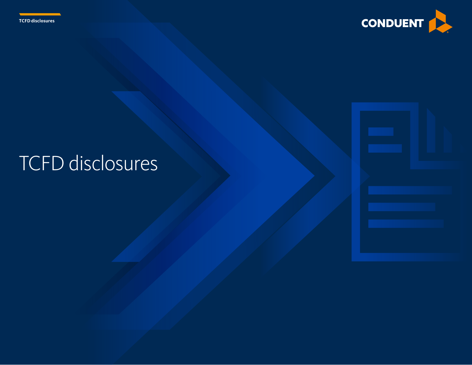



# TCFD disclosures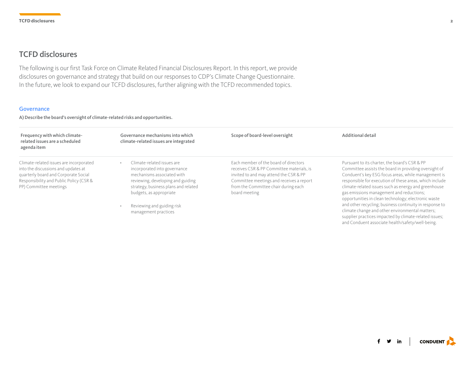# TCFD disclosures

The following is our first Task Force on Climate Related Financial Disclosures Report. In this report, we provide disclosures on governance and strategy that build on our responses to CDP's Climate Change Questionnaire. In the future, we look to expand our TCFD disclosures, further aligning with the TCFD recommended topics.

#### **Governance**

A) Describe the board's oversight of climate-related risks and opportunities.

| Frequency with which climate-<br>related issues are a scheduled<br>agenda item                                                                                                              | Governance mechanisms into which<br>climate-related issues are integrated                                                                                                                        | Scope of board-level oversight                                                                                                                                                                                                    | Additional detail                                                                                                                                                                                                                                                                                                                                                                   |
|---------------------------------------------------------------------------------------------------------------------------------------------------------------------------------------------|--------------------------------------------------------------------------------------------------------------------------------------------------------------------------------------------------|-----------------------------------------------------------------------------------------------------------------------------------------------------------------------------------------------------------------------------------|-------------------------------------------------------------------------------------------------------------------------------------------------------------------------------------------------------------------------------------------------------------------------------------------------------------------------------------------------------------------------------------|
| Climate-related issues are incorporated<br>into the discussions and updates at<br>quarterly board and Corporate Social<br>Responsibility and Public Policy (CSR &<br>PP) Committee meetings | Climate-related issues are<br>incorporated into governance<br>mechanisms associated with<br>reviewing, developing and guiding<br>strategy, business plans and related<br>budgets, as appropriate | Each member of the board of directors<br>receives CSR & PP Committee materials, is<br>invited to and may attend the CSR & PP<br>Committee meetings and receives a report<br>from the Committee chair during each<br>board meeting | Pursuant to its charter, the board's CSR & PP<br>Committee assists the board in providing oversight of<br>Conduent's key ESG focus areas, while management is<br>responsible for execution of these areas, which include<br>climate-related issues such as energy and greenhouse<br>gas emissions management and reductions;<br>opportunities in clean technology; electronic waste |
|                                                                                                                                                                                             | Reviewing and guiding risk<br>management practices                                                                                                                                               |                                                                                                                                                                                                                                   | and other recycling; business continuity in response to<br>climate change and other environmental matters;<br>supplier practices impacted by climate-related issues;                                                                                                                                                                                                                |

**CONDUENT** f y in

and Conduent associate health/safety/well-being.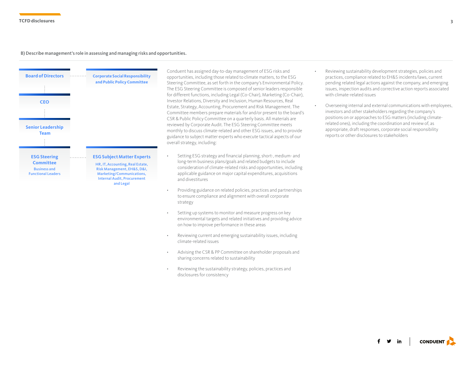#### B) Describe management's role in assessing and managing risks and opportunities.



Conduent has assigned day-to-day management of ESG risks and opportunities, including those related to climate matters, to the ESG Steering Committee, as set forth in the company's Environmental Policy. The ESG Steering Committee is composed of senior leaders responsible for different functions, including Legal (Co-Chair), Marketing (Co-Chair), Investor Relations, Diversity and Inclusion, Human Resources, Real Estate, Strategy, Accounting, Procurement and Risk Management. The Committee members prepare materials for and/or present to the board's CSR & Public Policy Committee on a quarterly basis. All materials are reviewed by Corporate Audit. The ESG Steering Committee meets monthly to discuss climate-related and other ESG issues, and to provide guidance to subject matter experts who execute tactical aspects of our overall strategy, including:

- Setting ESG strategy and financial planning, short-, medium- and long-term business plans/goals and related budgets to include consideration of climate-related risks and opportunities, including applicable guidance on major capital expenditures, acquisitions and divestitures
- Providing guidance on related policies, practices and partnerships to ensure compliance and alignment with overall corporate strategy
- Setting up systems to monitor and measure progress on key environmental targets and related initiatives and providing advice on how to improve performance in these areas
- Reviewing current and emerging sustainability issues, including climate-related issues
- Advising the CSR & PP Committee on shareholder proposals and sharing concerns related to sustainability
- Reviewing the sustainability strategy, policies, practices and disclosures for consistency
- Reviewing sustainability development strategies, policies and practices, compliance related to EH&S incidents/laws, current pending related legal actions against the company, and emerging issues, inspection audits and corrective action reports associated with climate-related issues
- Overseeing internal and external communications with employees, investors and other stakeholders regarding the company's positions on or approaches to ESG matters (including climaterelated ones), including the coordination and review of, as appropriate, draft responses, corporate social responsibility reports or other disclosures to stakeholders

**CONDUENT**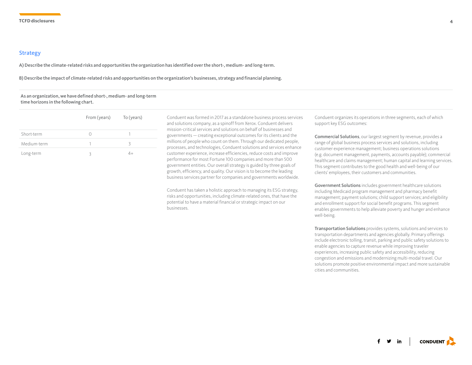#### Strategy

A) Describe the climate-related risks and opportunities the organization has identified over the short-, medium- and long-term.

B) Describe the impact of climate-related risks and opportunities on the organization's businesses, strategy and financial planning.

#### As an organization, we have defined short-, medium- and long-term time horizons in the following chart.

|             | From (years) | To (years) |
|-------------|--------------|------------|
| Short-term  |              |            |
| Medium-term |              | R          |
| Long-term   |              | 4+         |

Conduent was formed in 2017 as a standalone business process services and solutions company, as a spinoff from Xerox. Conduent delivers mission-critical services and solutions on behalf of businesses and governments — creating exceptional outcomes for its clients and the millions of people who count on them. Through our dedicated people, processes, and technologies, Conduent solutions and services enhance customer experience, increase efficiencies, reduce costs and improve performance for most Fortune 100 companies and more than 500 government entities. Our overall strategy is guided by three goals of growth, efficiency, and quality. Our vision is to become the leading business services partner for companies and governments worldwide.

Conduent has taken a holistic approach to managing its ESG strategy, risks and opportunities, including climate-related ones, that have the potential to have a material financial or strategic impact on our businesses.

Conduent organizes its operations in three segments, each of which support key ESG outcomes:

Commercial Solutions, our largest segment by revenue, provides a range of global business process services and solutions, including customer experience management; business operations solutions (e.g. document management, payments, accounts payable); commercial healthcare and claims management; human capital and learning services. This segment contributes to the good health and well-being of our clients' employees, their customers and communities.

Government Solutions includes government healthcare solutions including Medicaid program management and pharmacy benefit management; payment solutions; child support services; and eligibility and enrollment support for social benefit programs. This segment enables governments to help alleviate poverty and hunger and enhance well-being.

Transportation Solutions provides systems, solutions and services to transportation departments and agencies globally. Primary offerings include electronic tolling, transit, parking and public safety solutions to enable agencies to capture revenue while improving traveler experiences, increasing public safety and accessibility, reducing congestion and emissions and modernizing multi-modal travel. Our solutions promote positive environmental impact and more sustainable cities and communities.

 $y$  in **CONDUENT**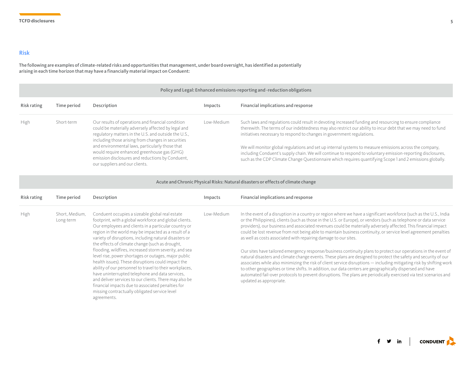## Risk

The following are examples of climate-related risks and opportunities that management, under board oversight, has identified as potentially arising in each time horizon that may have a financially material impact on Conduent:

#### Policy and Legal: Enhanced emissions-reporting and -reduction obligations

| Risk rating | Time period | Description                                                                                                                                                                                                                                | Impacts    | Financial implications and response                                                                                                                                                                                                                                                                                                 |
|-------------|-------------|--------------------------------------------------------------------------------------------------------------------------------------------------------------------------------------------------------------------------------------------|------------|-------------------------------------------------------------------------------------------------------------------------------------------------------------------------------------------------------------------------------------------------------------------------------------------------------------------------------------|
| <b>High</b> | Short-term  | Our results of operations and financial condition<br>could be materially adversely affected by legal and<br>regulatory matters in the U.S. and outside the U.S.,                                                                           | Low-Medium | Such laws and regulations could result in devoting increased funding and resourcing to ensure compliance<br>therewith. The terms of our indebtedness may also restrict our ability to incur debt that we may need to fund<br>initiatives necessary to respond to changes in government regulations.                                 |
|             |             | including those arising from changes in securities<br>and environmental laws, particularly those that<br>would require enhanced greenhouse gas (GHG)<br>emission disclosures and reductions by Conduent,<br>our suppliers and our clients. |            | We will monitor global regulations and set up internal systems to measure emissions across the company,<br>including Conduent's supply chain. We will continue to respond to voluntary emission-reporting disclosures,<br>such as the CDP Climate Change Questionnaire which requires quantifying Scope 1 and 2 emissions globally. |

Acute and Chronic Physical Risks: Natural disasters or effects of climate change

| Risk rating                                                                                                                                                                                                                                                                                                                                                                                                                                                                                                                                                                                                                                                                                                                                                                                                                                        | Time period | Description                                                                                                                                                                                                                                                                                                                                                                      | Impacts    | Financial implications and response                                                                                                                                                                                                                                                                                                                                                                                                                                                                                                                                                                                                                                                                                                                                                  |
|----------------------------------------------------------------------------------------------------------------------------------------------------------------------------------------------------------------------------------------------------------------------------------------------------------------------------------------------------------------------------------------------------------------------------------------------------------------------------------------------------------------------------------------------------------------------------------------------------------------------------------------------------------------------------------------------------------------------------------------------------------------------------------------------------------------------------------------------------|-------------|----------------------------------------------------------------------------------------------------------------------------------------------------------------------------------------------------------------------------------------------------------------------------------------------------------------------------------------------------------------------------------|------------|--------------------------------------------------------------------------------------------------------------------------------------------------------------------------------------------------------------------------------------------------------------------------------------------------------------------------------------------------------------------------------------------------------------------------------------------------------------------------------------------------------------------------------------------------------------------------------------------------------------------------------------------------------------------------------------------------------------------------------------------------------------------------------------|
| High<br>Conduent occupies a sizeable global real estate<br>Short, Medium,<br>footprint, with a global workforce and global clients.<br>Long-term<br>Our employees and clients in a particular country or<br>region in the world may be impacted as a result of a<br>variety of disruptions, including natural disasters or<br>the effects of climate change (such as drought,<br>flooding, wildfires, increased storm severity, and sea<br>level rise, power shortages or outages, major public<br>health issues). These disruptions could impact the<br>ability of our personnel to travel to their workplaces,<br>have uninterrupted telephone and data services,<br>and deliver services to our clients. There may also be<br>financial impacts due to associated penalties for<br>missing contractually obligated service level<br>agreements. |             |                                                                                                                                                                                                                                                                                                                                                                                  | Low-Medium | In the event of a disruption in a country or region where we have a significant workforce (such as the U.S., India<br>or the Philippines), clients (such as those in the U.S. or Europe), or vendors (such as telephone or data service<br>providers), our business and associated revenues could be materially adversely affected. This financial impact<br>could be lost revenue from not being able to maintain business continuity, or service level agreement penalties<br>as well as costs associated with repairing damage to our sites.<br>Our sites have tailored emergency response/business continuity plans to protect our operations in the event of<br>natural disasters and climate change events. These plans are designed to protect the safety and security of our |
|                                                                                                                                                                                                                                                                                                                                                                                                                                                                                                                                                                                                                                                                                                                                                                                                                                                    |             | associates while also minimizing the risk of client service disruptions - including mitigating risk by shifting work<br>to other geographies or time shifts. In addition, our data centers are geographically dispersed and have<br>automated fail-over protocols to prevent disruptions. The plans are periodically exercised via test scenarios and<br>updated as appropriate. |            |                                                                                                                                                                                                                                                                                                                                                                                                                                                                                                                                                                                                                                                                                                                                                                                      |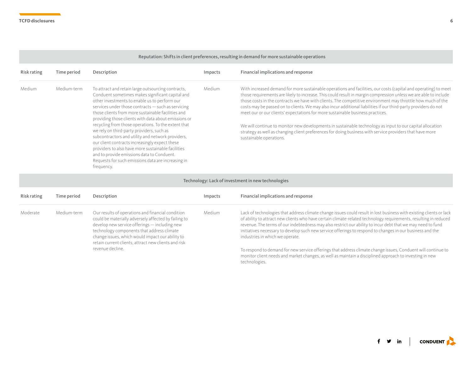### Reputation: Shifts in client preferences, resulting in demand for more sustainable operations

| Risk rating | Time period | Description                                                                                                                                                                                                                                                                                                                                                                                                                                                                                                                                                                                                                                                                                                    | Impacts | Financial implications and response                                                                                                                                                                                                                                                                                                                                                                                                                                                                                                                                                                                                                                                                                                                                                                         |
|-------------|-------------|----------------------------------------------------------------------------------------------------------------------------------------------------------------------------------------------------------------------------------------------------------------------------------------------------------------------------------------------------------------------------------------------------------------------------------------------------------------------------------------------------------------------------------------------------------------------------------------------------------------------------------------------------------------------------------------------------------------|---------|-------------------------------------------------------------------------------------------------------------------------------------------------------------------------------------------------------------------------------------------------------------------------------------------------------------------------------------------------------------------------------------------------------------------------------------------------------------------------------------------------------------------------------------------------------------------------------------------------------------------------------------------------------------------------------------------------------------------------------------------------------------------------------------------------------------|
| Medium      | Medium-term | To attract and retain large outsourcing contracts,<br>Conduent sometimes makes significant capital and<br>other investments to enable us to perform our<br>services under those contracts - such as servicing<br>those clients from more sustainable facilities and<br>providing those clients with data about emissions or<br>recycling from those operations. To the extent that<br>we rely on third-party providers, such as<br>subcontractors and utility and network providers,<br>our client contracts increasingly expect these<br>providers to also have more sustainable facilities<br>and to provide emissions data to Conduent.<br>Requests for such emissions data are increasing in<br>frequency. | Medium  | With increased demand for more sustainable operations and facilities, our costs (capital and operating) to meet<br>those requirements are likely to increase. This could result in margin compression unless we are able to include<br>those costs in the contracts we have with clients. The competitive environment may throttle how much of the<br>costs may be passed on to clients. We may also incur additional liabilities if our third-party providers do not<br>meet our or our clients' expectations for more sustainable business practices.<br>We will continue to monitor new developments in sustainable technology as input to our capital allocation<br>strategy as well as changing client preferences for doing business with service providers that have more<br>sustainable operations. |

### Technology: Lack of investment in new technologies

| Risk rating             | Time period                                                                                                                                                                                                                                                                                                          | Description             | Impacts                                                                                                                                                                                                                                                                                                                                                                                                                                                                                                | Financial implications and response |
|-------------------------|----------------------------------------------------------------------------------------------------------------------------------------------------------------------------------------------------------------------------------------------------------------------------------------------------------------------|-------------------------|--------------------------------------------------------------------------------------------------------------------------------------------------------------------------------------------------------------------------------------------------------------------------------------------------------------------------------------------------------------------------------------------------------------------------------------------------------------------------------------------------------|-------------------------------------|
| Moderate<br>Medium-term | Our results of operations and financial condition<br>could be materially adversely affected by failing to<br>develop new service offerings — including new<br>technology components that address climate<br>change issues, which would impact our ability to<br>retain current clients, attract new clients and risk | Medium<br>technologies. | Lack of technologies that address climate change issues could result in lost business with existing clients or lack<br>of ability to attract new clients who have certain climate-related technology requirements, resulting in reduced<br>revenue. The terms of our indebtedness may also restrict our ability to incur debt that we may need to fund<br>initiatives necessary to develop such new service offerings to respond to changes in our business and the<br>industries in which we operate. |                                     |
|                         | revenue decline.                                                                                                                                                                                                                                                                                                     |                         | To respond to demand for new service offerings that address climate change issues, Conduent will continue to<br>monitor client needs and market changes, as well as maintain a disciplined approach to investing in new                                                                                                                                                                                                                                                                                |                                     |

 $f \circ in$  conduent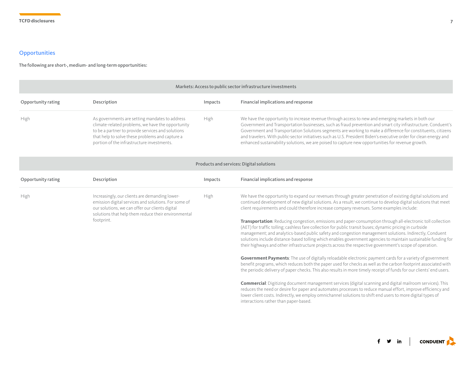# **Opportunities**

The following are short-, medium- and long-term opportunities:

| Markets: Access to public sector infrastructure investments |                                                                                                                                                                                                                                                           |         |                                                                                                                                                                                                                                                                                                                                                                                                                                                                                                                                                                                                                                                                                                                                                                                                                                                                                                                                                                                                                                                                                                                                                                                                                                                                                                                                                                                                                                                                                                                                                                                                                                                      |
|-------------------------------------------------------------|-----------------------------------------------------------------------------------------------------------------------------------------------------------------------------------------------------------------------------------------------------------|---------|------------------------------------------------------------------------------------------------------------------------------------------------------------------------------------------------------------------------------------------------------------------------------------------------------------------------------------------------------------------------------------------------------------------------------------------------------------------------------------------------------------------------------------------------------------------------------------------------------------------------------------------------------------------------------------------------------------------------------------------------------------------------------------------------------------------------------------------------------------------------------------------------------------------------------------------------------------------------------------------------------------------------------------------------------------------------------------------------------------------------------------------------------------------------------------------------------------------------------------------------------------------------------------------------------------------------------------------------------------------------------------------------------------------------------------------------------------------------------------------------------------------------------------------------------------------------------------------------------------------------------------------------------|
| Opportunity rating                                          | Description                                                                                                                                                                                                                                               | Impacts | Financial implications and response                                                                                                                                                                                                                                                                                                                                                                                                                                                                                                                                                                                                                                                                                                                                                                                                                                                                                                                                                                                                                                                                                                                                                                                                                                                                                                                                                                                                                                                                                                                                                                                                                  |
| High                                                        | As governments are setting mandates to address<br>climate-related problems, we have the opportunity<br>to be a partner to provide services and solutions<br>that help to solve these problems and capture a<br>portion of the infrastructure investments. | High    | We have the opportunity to increase revenue through access to new and emerging markets in both our<br>Government and Transportation businesses, such as fraud prevention and smart city infrastructure. Conduent's<br>Government and Transportation Solutions segments are working to make a difference for constituents, citizens<br>and travelers. With public-sector initiatives such as U.S. President Biden's executive order for clean energy and<br>enhanced sustainability solutions, we are poised to capture new opportunities for revenue growth.                                                                                                                                                                                                                                                                                                                                                                                                                                                                                                                                                                                                                                                                                                                                                                                                                                                                                                                                                                                                                                                                                         |
|                                                             |                                                                                                                                                                                                                                                           |         | Products and services: Digital solutions                                                                                                                                                                                                                                                                                                                                                                                                                                                                                                                                                                                                                                                                                                                                                                                                                                                                                                                                                                                                                                                                                                                                                                                                                                                                                                                                                                                                                                                                                                                                                                                                             |
| Opportunity rating                                          | Description                                                                                                                                                                                                                                               | Impacts | Financial implications and response                                                                                                                                                                                                                                                                                                                                                                                                                                                                                                                                                                                                                                                                                                                                                                                                                                                                                                                                                                                                                                                                                                                                                                                                                                                                                                                                                                                                                                                                                                                                                                                                                  |
| High                                                        | Increasingly, our clients are demanding lower-<br>emission digital services and solutions. For some of<br>our solutions, we can offer our clients digital<br>solutions that help them reduce their environmental<br>footprint.                            | High    | We have the opportunity to expand our revenues through greater penetration of existing digital solutions and<br>continued development of new digital solutions. As a result, we continue to develop digital solutions that meet<br>client requirements and could therefore increase company revenues. Some examples include:<br>Transportation: Reducing congestion, emissions and paper-consumption through all-electronic toll collection<br>(AET) for traffic tolling; cashless fare collection for public transit buses; dynamic pricing in curbside<br>management; and analytics-based public safety and congestion management solutions. Indirectly, Conduent<br>solutions include distance-based tolling which enables government agencies to maintain sustainable funding for<br>their highways and other infrastructure projects across the respective government's scope of operation.<br>Government Payments: The use of digitally reloadable electronic payment cards for a variety of government<br>benefit programs, which reduces both the paper used for checks as well as the carbon footprint associated with<br>the periodic delivery of paper checks. This also results in more timely receipt of funds for our clients' end users.<br><b>Commercial:</b> Digitizing document management services (digital scanning and digital mailroom services). This<br>reduces the need or desire for paper and automates processes to reduce manual effort, improve efficiency and<br>lower client costs. Indirectly, we employ omnichannel solutions to shift end users to more digital types of<br>interactions rather than paper-based. |

 $f \circ in$  conduent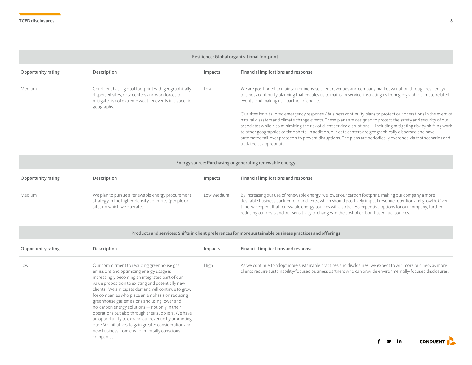| Resilience: Global organizational footprint |                                                                                                                                                                               |            |                                                                                                                                                                                                                                                                                                                                                                                                                                                                                                                                                                                                                                                                                                                                                                                                                                                                                                        |
|---------------------------------------------|-------------------------------------------------------------------------------------------------------------------------------------------------------------------------------|------------|--------------------------------------------------------------------------------------------------------------------------------------------------------------------------------------------------------------------------------------------------------------------------------------------------------------------------------------------------------------------------------------------------------------------------------------------------------------------------------------------------------------------------------------------------------------------------------------------------------------------------------------------------------------------------------------------------------------------------------------------------------------------------------------------------------------------------------------------------------------------------------------------------------|
| Opportunity rating                          | Description                                                                                                                                                                   | Impacts    | Financial implications and response                                                                                                                                                                                                                                                                                                                                                                                                                                                                                                                                                                                                                                                                                                                                                                                                                                                                    |
| Medium                                      | Conduent has a global footprint with geographically<br>dispersed sites, data centers and workforces to<br>mitigate risk of extreme weather events in a specific<br>geography. | Low        | We are positioned to maintain or increase client revenues and company market valuation through resiliency/<br>business continuity planning that enables us to maintain service, insulating us from geographic climate-related<br>events, and making us a partner of choice.<br>Our sites have tailored emergency response / business continuity plans to protect our operations in the event of<br>natural disasters and climate change events. These plans are designed to protect the safety and security of our<br>associates while also minimizing the risk of client service disruptions - including mitigating risk by shifting work<br>to other geographies or time shifts. In addition, our data centers are geographically dispersed and have<br>automated fail-over protocols to prevent disruptions. The plans are periodically exercised via test scenarios and<br>updated as appropriate. |
|                                             |                                                                                                                                                                               |            | Energy source: Purchasing or generating renewable energy                                                                                                                                                                                                                                                                                                                                                                                                                                                                                                                                                                                                                                                                                                                                                                                                                                               |
| Opportunity rating                          | Description                                                                                                                                                                   | Impacts    | Financial implications and response                                                                                                                                                                                                                                                                                                                                                                                                                                                                                                                                                                                                                                                                                                                                                                                                                                                                    |
| Medium                                      | We plan to pursue a renewable energy procurement<br>strategy in the higher-density countries (people or<br>sites) in which we operate.                                        | Low-Medium | By increasing our use of renewable energy, we lower our carbon footprint, making our company a more<br>desirable business partner for our clients, which should positively impact revenue retention and growth. Over<br>time, we expect that renewable energy sources will also be less expensive options for our company, further<br>reducing our costs and our sensitivity to changes in the cost of carbon-based fuel sources.                                                                                                                                                                                                                                                                                                                                                                                                                                                                      |

| Opportunity rating | Description                                                                                                                                                                                                                                                                                                                                                                                                                                                                                                                                                                                                                                  | Impacts | Financial implications and response                                                                                                                                                                                         |
|--------------------|----------------------------------------------------------------------------------------------------------------------------------------------------------------------------------------------------------------------------------------------------------------------------------------------------------------------------------------------------------------------------------------------------------------------------------------------------------------------------------------------------------------------------------------------------------------------------------------------------------------------------------------------|---------|-----------------------------------------------------------------------------------------------------------------------------------------------------------------------------------------------------------------------------|
| Low                | Our commitment to reducing greenhouse gas<br>emissions and optimizing energy usage is<br>increasingly becoming an integrated part of our<br>value proposition to existing and potentially new<br>clients. We anticipate demand will continue to grow<br>for companies who place an emphasis on reducing<br>greenhouse gas emissions and using lower and<br>no-carbon energy solutions - not only in their<br>operations but also through their suppliers. We have<br>an opportunity to expand our revenue by promoting<br>our ESG initiatives to gain greater consideration and<br>new business from environmentally conscious<br>companies. | High    | As we continue to adopt more sustainable practices and disclosures, we expect to win more business as more<br>clients require sustainability-focused business partners who can provide environmentally-focused disclosures. |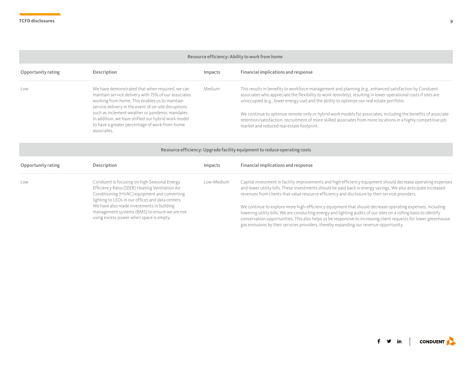#### Resource efficiency: Ability to work from home

| Opportunity rating | Description                                                                                                                                                                                                                                                                                                                                                                                 | Impacts | Financial implications and response                                                                                                                                                                                                                                                                                                                                                                                                                                                                                                                                                                    |
|--------------------|---------------------------------------------------------------------------------------------------------------------------------------------------------------------------------------------------------------------------------------------------------------------------------------------------------------------------------------------------------------------------------------------|---------|--------------------------------------------------------------------------------------------------------------------------------------------------------------------------------------------------------------------------------------------------------------------------------------------------------------------------------------------------------------------------------------------------------------------------------------------------------------------------------------------------------------------------------------------------------------------------------------------------------|
| Low                | We have demonstrated that when required, we can<br>maintain service delivery with 75% of our associates<br>working from home. This enables us to maintain<br>service delivery in the event of on-site disruptions<br>such as inclement weather or pandemic mandates.<br>In addition, we have shifted our hybrid work model<br>to have a greater percentage of work-from-home<br>associates. | Medium  | This results in benefits to workforce management and planning (e.g., enhanced satisfaction by Conduent<br>associates who appreciate the flexibility to work remotely), resulting in lower operational costs if sites are<br>unoccupied (e.g., lower energy use) and the ability to optimize our real estate portfolio.<br>We continue to optimize remote-only or hybrid work models for associates, including the benefits of associate<br>retention/satisfaction, recruitment of more skilled associates from more locations in a highly competitive job<br>market and reduced real estate footprint. |

| Resource efficiency: Upgrade facility equipment to reduce operating costs |                                                                                                                                                                                                      |            |                                                                                                                                                                                                                                                                                                                                                                                                                                          |
|---------------------------------------------------------------------------|------------------------------------------------------------------------------------------------------------------------------------------------------------------------------------------------------|------------|------------------------------------------------------------------------------------------------------------------------------------------------------------------------------------------------------------------------------------------------------------------------------------------------------------------------------------------------------------------------------------------------------------------------------------------|
| Opportunity rating                                                        | Description                                                                                                                                                                                          | Impacts    | Financial implications and response                                                                                                                                                                                                                                                                                                                                                                                                      |
| Low                                                                       | Conduent is focusing on high Seasonal Energy<br>Efficiency Ratio (SEER) Heating Ventilation Air<br>Conditioning (HVAC) equipment and converting<br>lighting to LEDs in our offices and data centers. | Low-Medium | Capital investment in facility improvements and high efficiency equipment should decrease operating expenses<br>and lower utility bills. These investments should be paid back in energy savings. We also anticipate increased<br>revenues from clients that value resource efficiency and disclosure by their service providers.                                                                                                        |
|                                                                           | We have also made investments in building<br>management systems (BMS) to ensure we are not<br>using excess power when space is empty.                                                                |            | We continue to explore more high-efficiency equipment that should decrease operating expenses, including<br>lowering utility bills. We are conducting energy and lighting audits of our sites on a rolling basis to identify<br>conservation opportunities. This also helps us be responsive to increasing client requests for lower greenhouse<br>gas emissions by their services providers, thereby expanding our revenue opportunity. |

 $f \circ in$  conduent